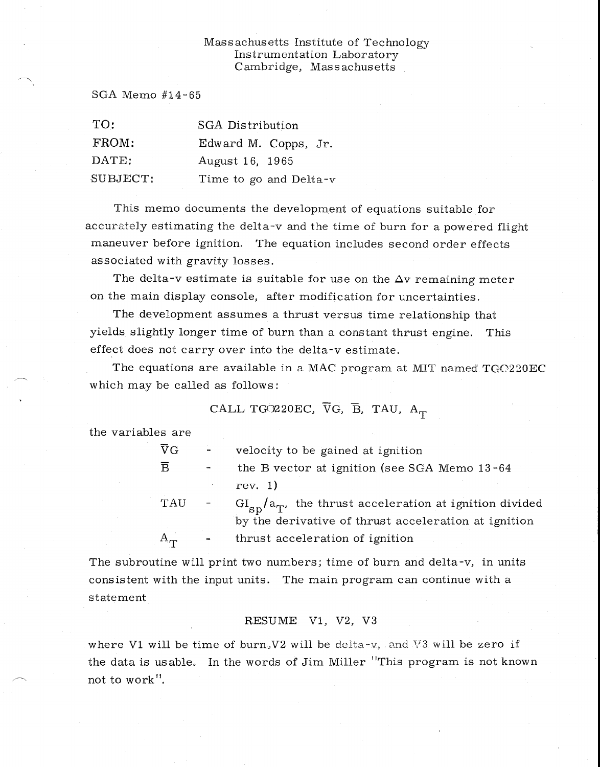## Massachusetts Institute of Technology Instrumentation Laboratory Cambridge, Massachusetts

SGA Memo #14-65

| TO:            | <b>SGA</b> Distribution |  |  |
|----------------|-------------------------|--|--|
| FROM:          | Edward M. Copps, Jr.    |  |  |
| $\text{DATE:}$ | August 16, 1965         |  |  |
| SUBJECT:       | Time to go and Delta-v  |  |  |

This memo documents the development of equations suitable for accurately estimating the delta-v and the time of burn for a powered flight maneuver before ignition. The equation includes second order effects associated with gravity losses.

The delta-v estimate is suitable for use on the  $\Delta v$  remaining meter on the main display console, after modification for uncertainties.

The development assumes a thrust versus time relationship that yields slightly longer time of burn than a constant thrust engine. This effect does not carry over into the delta-v estimate.

The equations are available in a MAC program at MIT named TGC220EC which may be called as follows:

CALL TGO220EC,  $\overline{V}G$ ,  $\overline{B}$ , TAU,  $A_T$ 

the variables are

| $\overline{\text{V}}\text{G}$ | $\blacksquare$ | velocity to be gained at ignition                           |
|-------------------------------|----------------|-------------------------------------------------------------|
| $\overline{B}$                |                | the B vector at ignition (see SGA Memo 13-64                |
|                               |                | rev. 1)                                                     |
| TAU                           |                | $GI_{SD}/a_T$ , the thrust acceleration at ignition divided |
|                               |                | by the derivative of thrust acceleration at ignition        |
| $A_{rr}$                      |                | thrust acceleration of ignition                             |

The subroutine will print two numbers; time of burn and delta-v, in units consistent with the input units. The main program can continue with a statement

## RESUME V1, V2, V3

where V1 will be time of burn, V2 will be delta-v, and V3 will be zero if the data is usable. In the words of Jim Miller "This program is not known not to work".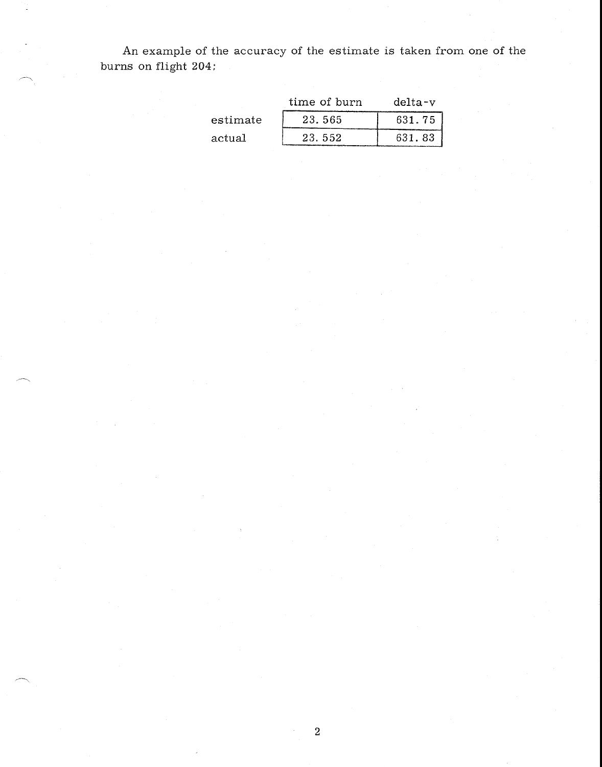An example of the accuracy of the estimate is taken from one of the burns on flight 204:

|          | time of burn | delta-v |
|----------|--------------|---------|
| estimate | 23.565       | 631.75  |
| actual   | 23.552       | 631.83  |

2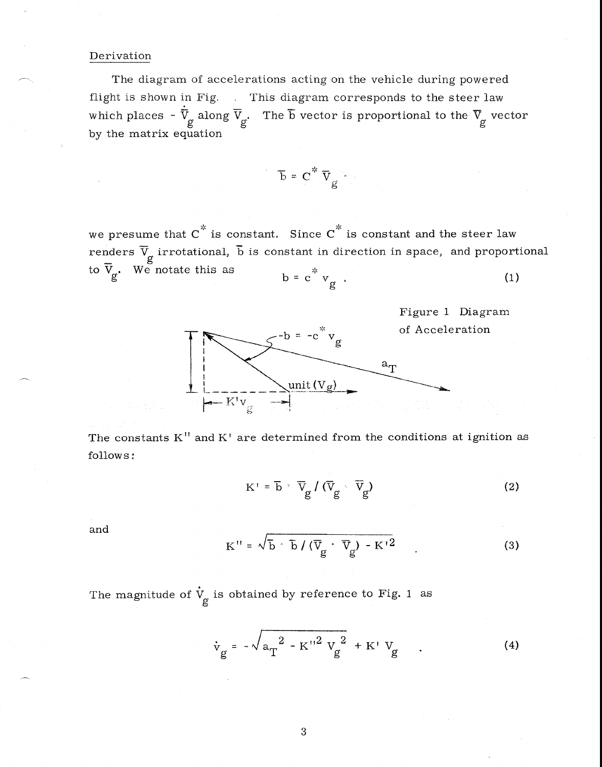## Derivation

The diagram of accelerations acting on the vehicle during powered flight is shown in Fig. This diagram corresponds to the steer law which places -  $\dot{\overline{V}}_g$  along  $\overline{V}_g$ . The  $\overline{b}$  vector is proportional to the  $\overline{V}_g$  vector by the matrix equation

$$
\overline{b} = C^* \overline{V}_g
$$

we presume that  $C^*$  is constant. Since  $C^*$  is constant and the steer law renders  $\overline{\mathrm{V}}_{\alpha}$  irrotational,  $\overline{\mathrm{b}}$  is constant in direction in space, and proportional to  $\overline{V}_g$ . We notate this as  $b = c^* v_g$ . (1)



The constants  $K''$  and  $K'$  are determined from the conditions at ignition as follows:

$$
K' = \overline{b} \cdot \overline{V}_g / (\overline{V}_g \cdot \overline{V}_g)
$$
 (2)

and

$$
K'' = \sqrt{\overline{b} \cdot \overline{b}} / (\overline{V}_{g} \cdot \overline{V}_{g}) - K'^{2}
$$
 (3)

The magnitude of  $\dot{V}_g$  is obtained by reference to Fig. 1 as

is obtained by reference to Fig. 1 as  

$$
\dot{v}_{g} = -\sqrt{a_{T}^{2} - K''^{2} V_{g}^{2}} + K' V_{g} \qquad (4)
$$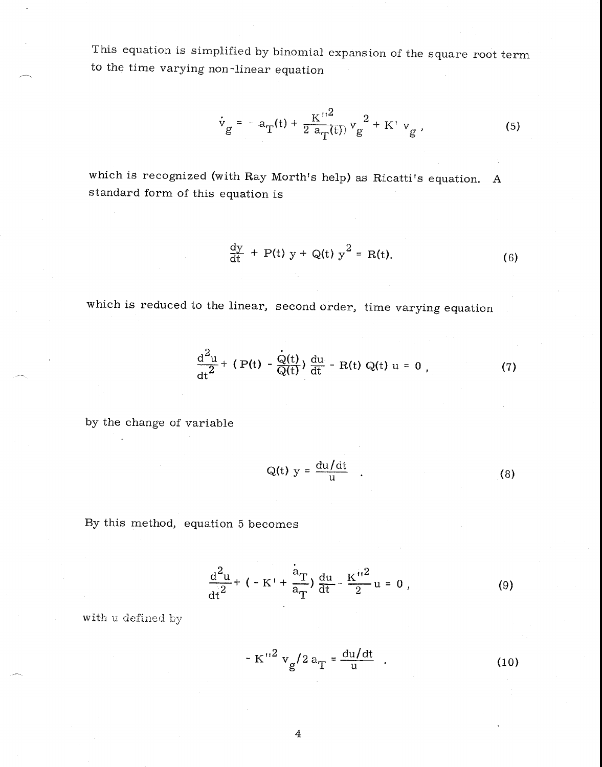This equation is simplified by binomial expansion of the square root term to the time varying non-linear equation

$$
\dot{v}_g = -a_T(t) + \frac{K''^2}{2 a_T(t)} v_g^2 + K' v_g ,
$$
 (5)

which is recognized (with Ray Morth's help) as Ricatti's equation. A standard form of this equation is

$$
\frac{dy}{dt} + P(t) y + Q(t) y^2 = R(t).
$$
 (6)

which is reduced to the linear, second order, time varying equation

$$
\frac{d^{2}u}{dt^{2}} + (P(t) - \frac{Q(t)}{Q(t)}) \frac{du}{dt} - R(t) Q(t) u = 0 , \qquad (7)
$$

by the change of variable

$$
Q(t) y = \frac{du/dt}{u} \qquad (8)
$$

By this method, equation 5 becomes

$$
\frac{d^2u}{dt^2} + (-K' + \frac{a_T}{a_T}) \frac{du}{dt} - \frac{K''^2}{2}u = 0,
$$
 (9)

with  $\scriptstyle\rm u$  defined by

$$
- K''^{2} v_{g} / 2 a_{T} = \frac{du/dt}{u} . \qquad (10)
$$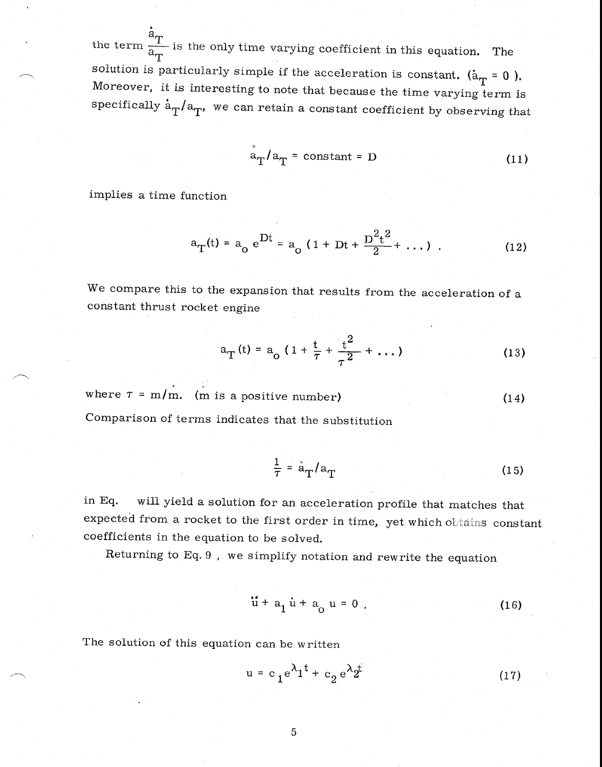the term  $\frac{a_T}{a_T}$  is the only time varying coefficient in this equation. The solution solution is particularly simple if the acceleration is constant. ( $a_T = 0$ ). Moreover, it is interesting to note that because the time varying term is specifically  $a_T/a_T$ , we can retain a constant coefficient by observing that

$$
a_T/a_T = constant = D \qquad (11)
$$

implies a time function

$$
a_T(t) = a_o e^{Dt} = a_o (1 + Dt + \frac{D^2 t^2}{2} + ...)
$$
 (12)

We compare this to the expansion that results from the acceleration of a constant thrust rocket engine

$$
a_T(t) = a_0 \left( 1 + \frac{t}{\tau} + \frac{t^2}{\tau^2} + \dots \right) \tag{13}
$$

where  $\tau = m/m$ . (m is a positive number) (14)

Comparison of terms indicates that the substitution

$$
\frac{1}{\tau} = \dot{a}_{T}/a_{T} \tag{15}
$$

in Eq. will yield a solution for an acceleration profile that matches that expected from a rocket to the first order in time, yet which obtains constant coefficients in the equation to be solved.

Returning to Eq. 9 , we simplify notation and rewrite the equation

$$
\ddot{u} + a_1 \dot{u} + a_0 u = 0 \tag{16}
$$

The solution of this equation can be written

$$
u = c_1 e^{\lambda_1 t} + c_2 e^{\lambda_2 t} \tag{17}
$$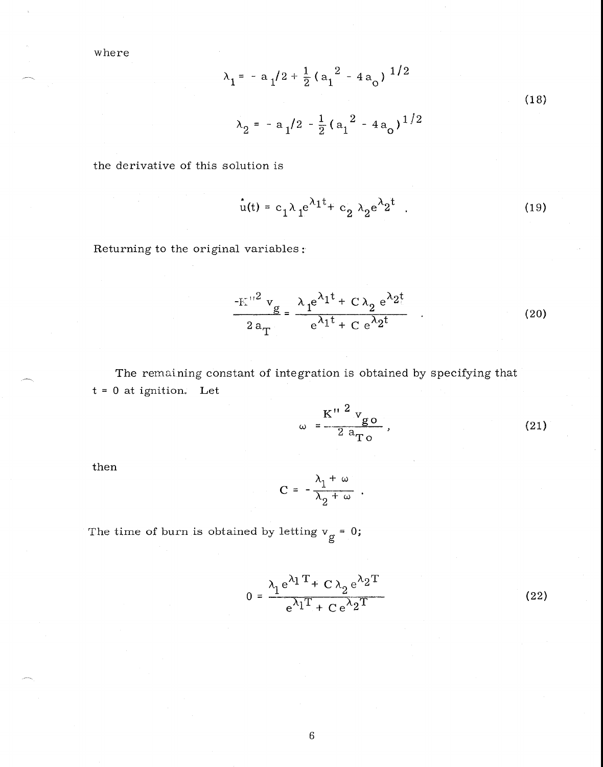where

$$
\lambda_1 = -a_1/2 + \frac{1}{2} (a_1^2 - 4a_0)^{1/2}
$$
  

$$
\lambda_2 = -a_1/2 - \frac{1}{2} (a_1^2 - 4a_0)^{1/2}
$$
 (18)

the derivative of this solution is

$$
u(t) = c_1 \lambda_1 e^{\lambda_1 t} + c_2 \lambda_2 e^{\lambda_2 t} \tag{19}
$$

Returning to the original variables:

$$
\frac{1}{2a_{\rm T}} = \frac{\lambda_1 e^{\lambda_1 t} + C \lambda_2 e^{\lambda_2 t}}{e^{\lambda_1 t} + C e^{\lambda_2 t}} \qquad (20)
$$

The remaining constant of integration is obtained by specifying that  $t = 0$  at ignition. Let

$$
\omega = \frac{K''^{2} v_{g0}}{2 a_{T0}} \qquad (21)
$$

then

$$
C = -\frac{\lambda_1 + \omega}{\lambda_2 + \omega} \ .
$$

The time of burn is obtained by letting  $v_g = 0$ ;

$$
0 = \frac{\lambda_1 e^{\lambda_1 T} + C \lambda_2 e^{\lambda_2 T}}{e^{\lambda_1 T} + C e^{\lambda_2 T}}
$$
 (22)